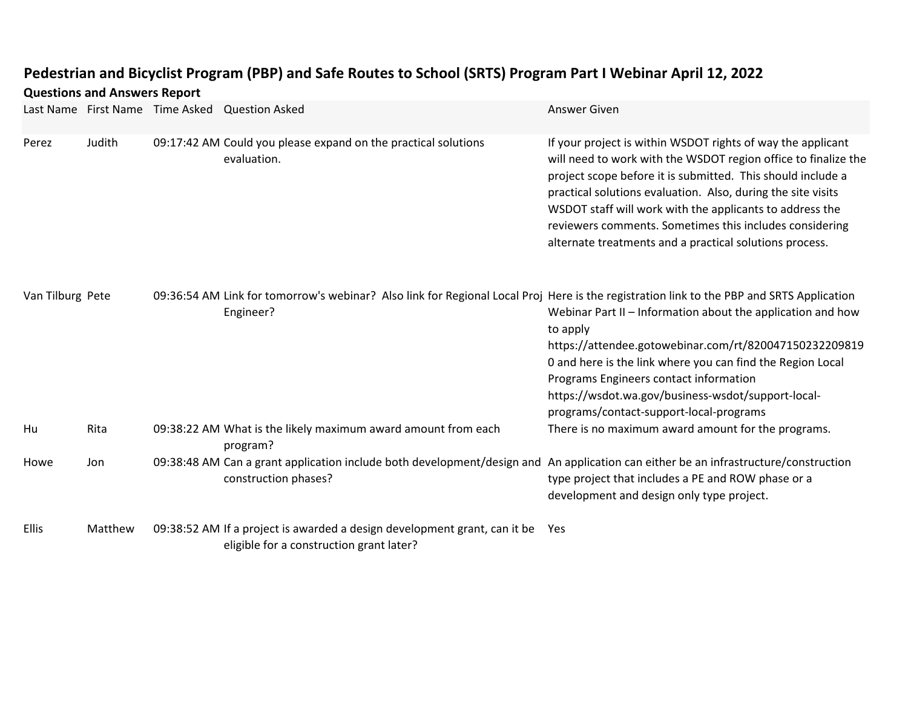## **Pedestrian and Bicyclist Program (PBP) and Safe Routes to School (SRTS) Program Part I Webinar April 12, 2022**

| <b>Questions and Answers Report</b> |         |                                 |                                                                                                                                                             |                                                                                                                                                                                                                                                                                                                                                                                                                                                |  |  |
|-------------------------------------|---------|---------------------------------|-------------------------------------------------------------------------------------------------------------------------------------------------------------|------------------------------------------------------------------------------------------------------------------------------------------------------------------------------------------------------------------------------------------------------------------------------------------------------------------------------------------------------------------------------------------------------------------------------------------------|--|--|
|                                     |         | Last Name First Name Time Asked | <b>Question Asked</b>                                                                                                                                       | <b>Answer Given</b>                                                                                                                                                                                                                                                                                                                                                                                                                            |  |  |
| Perez                               | Judith  |                                 | 09:17:42 AM Could you please expand on the practical solutions<br>evaluation.                                                                               | If your project is within WSDOT rights of way the applicant<br>will need to work with the WSDOT region office to finalize the<br>project scope before it is submitted. This should include a<br>practical solutions evaluation. Also, during the site visits<br>WSDOT staff will work with the applicants to address the<br>reviewers comments. Sometimes this includes considering<br>alternate treatments and a practical solutions process. |  |  |
| Van Tilburg Pete                    |         |                                 | 09:36:54 AM Link for tomorrow's webinar? Also link for Regional Local Proj Here is the registration link to the PBP and SRTS Application<br>Engineer?       | Webinar Part II - Information about the application and how<br>to apply<br>https://attendee.gotowebinar.com/rt/820047150232209819<br>0 and here is the link where you can find the Region Local<br>Programs Engineers contact information<br>https://wsdot.wa.gov/business-wsdot/support-local-<br>programs/contact-support-local-programs                                                                                                     |  |  |
| Hu                                  | Rita    |                                 | 09:38:22 AM What is the likely maximum award amount from each<br>program?                                                                                   | There is no maximum award amount for the programs.                                                                                                                                                                                                                                                                                                                                                                                             |  |  |
| Howe                                | Jon     |                                 | 09:38:48 AM Can a grant application include both development/design and An application can either be an infrastructure/construction<br>construction phases? | type project that includes a PE and ROW phase or a<br>development and design only type project.                                                                                                                                                                                                                                                                                                                                                |  |  |
| <b>Ellis</b>                        | Matthew |                                 | 09:38:52 AM If a project is awarded a design development grant, can it be<br>eligible for a construction grant later?                                       | Yes                                                                                                                                                                                                                                                                                                                                                                                                                                            |  |  |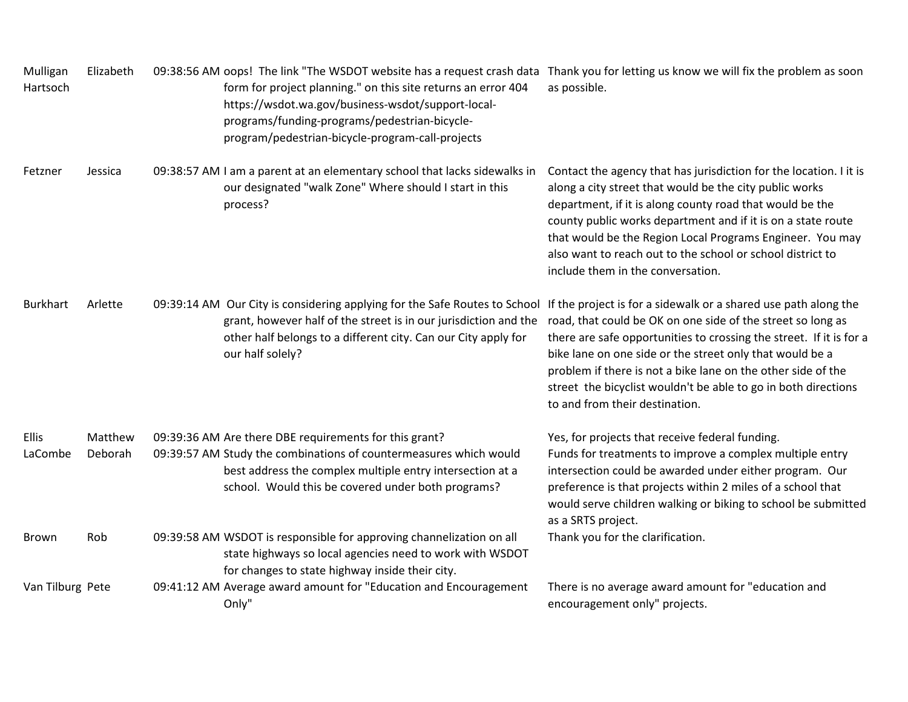| Mulligan<br>Hartsoch    | Elizabeth          | 09:38:56 AM oops! The link "The WSDOT website has a request crash data Thank you for letting us know we will fix the problem as soon<br>form for project planning." on this site returns an error 404<br>https://wsdot.wa.gov/business-wsdot/support-local-<br>programs/funding-programs/pedestrian-bicycle-<br>program/pedestrian-bicycle-program-call-projects | as possible.                                                                                                                                                                                                                                                                                                                                                                                                                          |
|-------------------------|--------------------|------------------------------------------------------------------------------------------------------------------------------------------------------------------------------------------------------------------------------------------------------------------------------------------------------------------------------------------------------------------|---------------------------------------------------------------------------------------------------------------------------------------------------------------------------------------------------------------------------------------------------------------------------------------------------------------------------------------------------------------------------------------------------------------------------------------|
| Fetzner                 | Jessica            | 09:38:57 AM I am a parent at an elementary school that lacks sidewalks in<br>our designated "walk Zone" Where should I start in this<br>process?                                                                                                                                                                                                                 | Contact the agency that has jurisdiction for the location. I it is<br>along a city street that would be the city public works<br>department, if it is along county road that would be the<br>county public works department and if it is on a state route<br>that would be the Region Local Programs Engineer. You may<br>also want to reach out to the school or school district to<br>include them in the conversation.             |
| <b>Burkhart</b>         | Arlette            | 09:39:14 AM Our City is considering applying for the Safe Routes to School<br>grant, however half of the street is in our jurisdiction and the<br>other half belongs to a different city. Can our City apply for<br>our half solely?                                                                                                                             | If the project is for a sidewalk or a shared use path along the<br>road, that could be OK on one side of the street so long as<br>there are safe opportunities to crossing the street. If it is for a<br>bike lane on one side or the street only that would be a<br>problem if there is not a bike lane on the other side of the<br>street the bicyclist wouldn't be able to go in both directions<br>to and from their destination. |
| <b>Ellis</b><br>LaCombe | Matthew<br>Deborah | 09:39:36 AM Are there DBE requirements for this grant?<br>09:39:57 AM Study the combinations of countermeasures which would<br>best address the complex multiple entry intersection at a<br>school. Would this be covered under both programs?                                                                                                                   | Yes, for projects that receive federal funding.<br>Funds for treatments to improve a complex multiple entry<br>intersection could be awarded under either program. Our<br>preference is that projects within 2 miles of a school that<br>would serve children walking or biking to school be submitted<br>as a SRTS project.                                                                                                          |
| <b>Brown</b>            | Rob                | 09:39:58 AM WSDOT is responsible for approving channelization on all<br>state highways so local agencies need to work with WSDOT<br>for changes to state highway inside their city.                                                                                                                                                                              | Thank you for the clarification.                                                                                                                                                                                                                                                                                                                                                                                                      |
| Van Tilburg Pete        |                    | 09:41:12 AM Average award amount for "Education and Encouragement<br>Only"                                                                                                                                                                                                                                                                                       | There is no average award amount for "education and<br>encouragement only" projects.                                                                                                                                                                                                                                                                                                                                                  |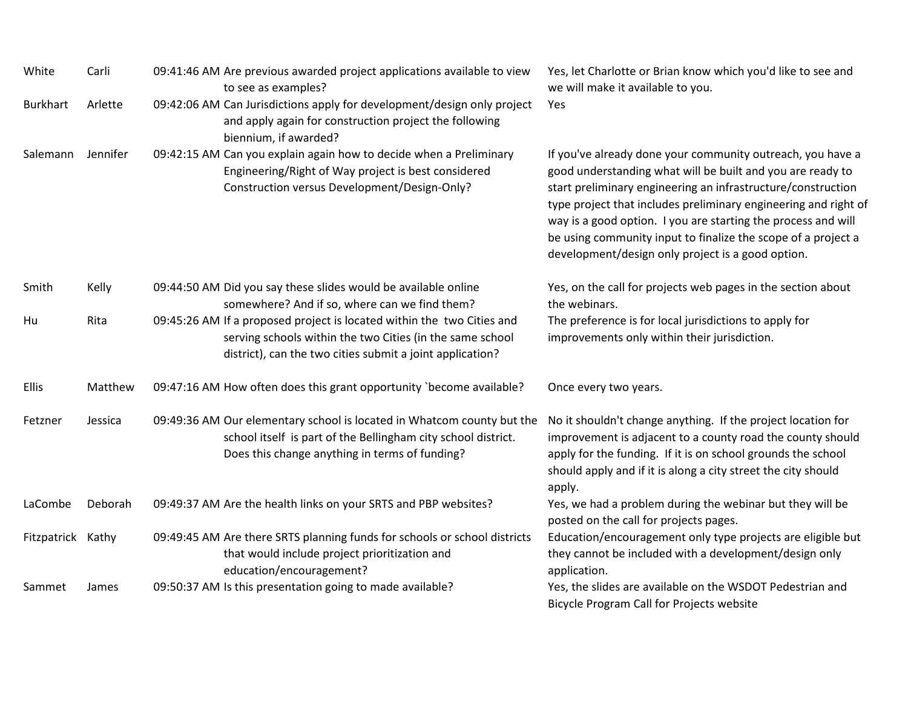| White             | Carli    | 09:41:46 AM Are previous awarded project applications available to view<br>to see as examples?                                                                                                   | Yes, let Charlotte or Brian know which you'd like to see and<br>we will make it available to you.                                                                                                                                                                                                                                                                                                                                                  |
|-------------------|----------|--------------------------------------------------------------------------------------------------------------------------------------------------------------------------------------------------|----------------------------------------------------------------------------------------------------------------------------------------------------------------------------------------------------------------------------------------------------------------------------------------------------------------------------------------------------------------------------------------------------------------------------------------------------|
| <b>Burkhart</b>   | Arlette  | 09:42:06 AM Can Jurisdictions apply for development/design only project<br>and apply again for construction project the following<br>biennium, if awarded?                                       | Yes                                                                                                                                                                                                                                                                                                                                                                                                                                                |
| Salemann          | Jennifer | 09:42:15 AM Can you explain again how to decide when a Preliminary<br>Engineering/Right of Way project is best considered<br>Construction versus Development/Design-Only?                        | If you've already done your community outreach, you have a<br>good understanding what will be built and you are ready to<br>start preliminary engineering an infrastructure/construction<br>type project that includes preliminary engineering and right of<br>way is a good option. I you are starting the process and will<br>be using community input to finalize the scope of a project a<br>development/design only project is a good option. |
| Smith             | Kelly    | 09:44:50 AM Did you say these slides would be available online<br>somewhere? And if so, where can we find them?                                                                                  | Yes, on the call for projects web pages in the section about<br>the webinars.                                                                                                                                                                                                                                                                                                                                                                      |
| Hu                | Rita     | 09:45:26 AM If a proposed project is located within the two Cities and<br>serving schools within the two Cities (in the same school<br>district), can the two cities submit a joint application? | The preference is for local jurisdictions to apply for<br>improvements only within their jurisdiction.                                                                                                                                                                                                                                                                                                                                             |
| <b>Ellis</b>      | Matthew  | 09:47:16 AM How often does this grant opportunity `become available?                                                                                                                             | Once every two years.                                                                                                                                                                                                                                                                                                                                                                                                                              |
| Fetzner           | Jessica  | 09:49:36 AM Our elementary school is located in Whatcom county but the<br>school itself is part of the Bellingham city school district.<br>Does this change anything in terms of funding?        | No it shouldn't change anything. If the project location for<br>improvement is adjacent to a county road the county should<br>apply for the funding. If it is on school grounds the school<br>should apply and if it is along a city street the city should<br>apply.                                                                                                                                                                              |
| LaCombe           | Deborah  | 09:49:37 AM Are the health links on your SRTS and PBP websites?                                                                                                                                  | Yes, we had a problem during the webinar but they will be<br>posted on the call for projects pages.                                                                                                                                                                                                                                                                                                                                                |
| Fitzpatrick Kathy |          | 09:49:45 AM Are there SRTS planning funds for schools or school districts<br>that would include project prioritization and<br>education/encouragement?                                           | Education/encouragement only type projects are eligible but<br>they cannot be included with a development/design only<br>application.                                                                                                                                                                                                                                                                                                              |
| Sammet            | James    | 09:50:37 AM Is this presentation going to made available?                                                                                                                                        | Yes, the slides are available on the WSDOT Pedestrian and<br>Bicycle Program Call for Projects website                                                                                                                                                                                                                                                                                                                                             |